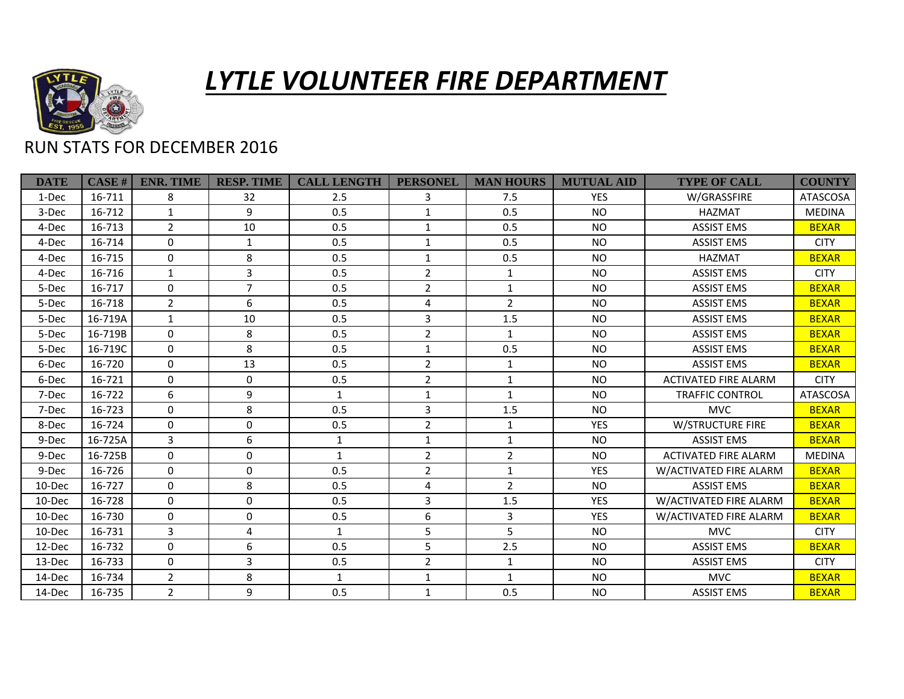

## *LYTLE VOLUNTEER FIRE DEPARTMENT*

## RUN STATS FOR DECEMBER 2016

| <b>DATE</b> | CASE#   | <b>ENR. TIME</b> | <b>RESP. TIME</b> | <b>CALL LENGTH</b> | <b>PERSONEL</b> | <b>MAN HOURS</b> | <b>MUTUAL AID</b> | <b>TYPE OF CALL</b>         | <b>COUNTY</b>   |
|-------------|---------|------------------|-------------------|--------------------|-----------------|------------------|-------------------|-----------------------------|-----------------|
| 1-Dec       | 16-711  | 8                | 32                | 2.5                | 3               | 7.5              | <b>YES</b>        | W/GRASSFIRE                 | <b>ATASCOSA</b> |
| 3-Dec       | 16-712  | $\mathbf{1}$     | 9                 | 0.5                | $\mathbf{1}$    | 0.5              | <b>NO</b>         | <b>HAZMAT</b>               | <b>MEDINA</b>   |
| 4-Dec       | 16-713  | $\overline{2}$   | 10                | 0.5                | $\mathbf{1}$    | 0.5              | <b>NO</b>         | <b>ASSIST EMS</b>           | <b>BEXAR</b>    |
| 4-Dec       | 16-714  | 0                | $\mathbf{1}$      | 0.5                | $\mathbf{1}$    | 0.5              | <b>NO</b>         | <b>ASSIST EMS</b>           | <b>CITY</b>     |
| 4-Dec       | 16-715  | $\Omega$         | 8                 | 0.5                | $\mathbf{1}$    | 0.5              | <b>NO</b>         | <b>HAZMAT</b>               | <b>BEXAR</b>    |
| 4-Dec       | 16-716  | $\mathbf{1}$     | 3                 | 0.5                | $\overline{2}$  | $\mathbf{1}$     | <b>NO</b>         | <b>ASSIST EMS</b>           | <b>CITY</b>     |
| 5-Dec       | 16-717  | $\Omega$         | $\overline{7}$    | 0.5                | $\overline{2}$  | $\mathbf{1}$     | <b>NO</b>         | <b>ASSIST EMS</b>           | <b>BEXAR</b>    |
| 5-Dec       | 16-718  | $\overline{2}$   | 6                 | 0.5                | 4               | $\overline{2}$   | <b>NO</b>         | <b>ASSIST EMS</b>           | <b>BEXAR</b>    |
| 5-Dec       | 16-719A | $\mathbf{1}$     | 10                | 0.5                | 3               | 1.5              | <b>NO</b>         | <b>ASSIST EMS</b>           | <b>BEXAR</b>    |
| 5-Dec       | 16-719B | $\Omega$         | 8                 | 0.5                | $\overline{2}$  | $\mathbf{1}$     | <b>NO</b>         | <b>ASSIST EMS</b>           | <b>BEXAR</b>    |
| 5-Dec       | 16-719C | $\Omega$         | 8                 | 0.5                | $\mathbf{1}$    | 0.5              | <b>NO</b>         | <b>ASSIST EMS</b>           | <b>BEXAR</b>    |
| 6-Dec       | 16-720  | $\Omega$         | 13                | 0.5                | $\overline{2}$  | $\mathbf{1}$     | <b>NO</b>         | <b>ASSIST EMS</b>           | <b>BEXAR</b>    |
| 6-Dec       | 16-721  | 0                | $\mathbf 0$       | 0.5                | $\overline{2}$  | $\mathbf{1}$     | <b>NO</b>         | <b>ACTIVATED FIRE ALARM</b> | <b>CITY</b>     |
| 7-Dec       | 16-722  | 6                | 9                 | $\mathbf{1}$       | $\mathbf{1}$    | $\mathbf{1}$     | <b>NO</b>         | <b>TRAFFIC CONTROL</b>      | <b>ATASCOSA</b> |
| 7-Dec       | 16-723  | $\Omega$         | 8                 | 0.5                | 3               | 1.5              | <b>NO</b>         | <b>MVC</b>                  | <b>BEXAR</b>    |
| 8-Dec       | 16-724  | 0                | $\mathbf 0$       | 0.5                | $\overline{2}$  | $\mathbf{1}$     | <b>YES</b>        | <b>W/STRUCTURE FIRE</b>     | <b>BEXAR</b>    |
| 9-Dec       | 16-725A | $\mathbf{3}$     | 6                 | $\mathbf{1}$       | $\mathbf{1}$    | $\mathbf{1}$     | <b>NO</b>         | <b>ASSIST EMS</b>           | <b>BEXAR</b>    |
| 9-Dec       | 16-725B | $\Omega$         | $\mathbf{0}$      | $\mathbf{1}$       | $\overline{2}$  | $\overline{2}$   | <b>NO</b>         | <b>ACTIVATED FIRE ALARM</b> | <b>MEDINA</b>   |
| 9-Dec       | 16-726  | $\mathbf{0}$     | $\mathbf 0$       | 0.5                | $\overline{2}$  | $\mathbf{1}$     | <b>YES</b>        | W/ACTIVATED FIRE ALARM      | <b>BEXAR</b>    |
| 10-Dec      | 16-727  | $\Omega$         | 8                 | 0.5                | 4               | $\overline{2}$   | <b>NO</b>         | <b>ASSIST EMS</b>           | <b>BEXAR</b>    |
| 10-Dec      | 16-728  | $\Omega$         | $\mathbf 0$       | 0.5                | 3               | 1.5              | <b>YES</b>        | W/ACTIVATED FIRE ALARM      | <b>BEXAR</b>    |
| $10$ -Dec   | 16-730  | $\Omega$         | $\mathbf 0$       | 0.5                | 6               | 3                | <b>YES</b>        | W/ACTIVATED FIRE ALARM      | <b>BEXAR</b>    |
| 10-Dec      | 16-731  | $\overline{3}$   | 4                 | $\mathbf{1}$       | 5               | 5                | <b>NO</b>         | <b>MVC</b>                  | <b>CITY</b>     |
| 12-Dec      | 16-732  | $\Omega$         | 6                 | 0.5                | 5               | 2.5              | <b>NO</b>         | <b>ASSIST EMS</b>           | <b>BEXAR</b>    |
| 13-Dec      | 16-733  | $\Omega$         | 3                 | 0.5                | $\overline{2}$  | $\mathbf{1}$     | <b>NO</b>         | <b>ASSIST EMS</b>           | <b>CITY</b>     |
| 14-Dec      | 16-734  | $\overline{2}$   | 8                 | 1                  | $\mathbf{1}$    | $\mathbf{1}$     | <b>NO</b>         | <b>MVC</b>                  | <b>BEXAR</b>    |
| 14-Dec      | 16-735  | $\overline{2}$   | 9                 | 0.5                | $\mathbf{1}$    | 0.5              | <b>NO</b>         | <b>ASSIST EMS</b>           | <b>BEXAR</b>    |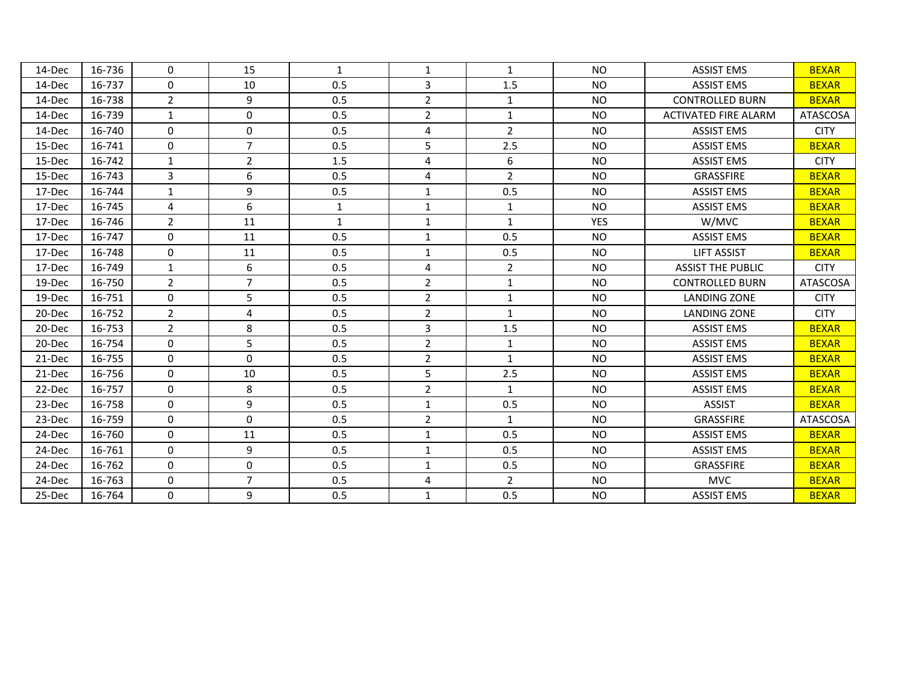| 14-Dec | 16-736 | $\Omega$       | 15             | $\mathbf{1}$ | 1              | $\mathbf{1}$   | <b>NO</b>  | <b>ASSIST EMS</b>           | <b>BEXAR</b>    |
|--------|--------|----------------|----------------|--------------|----------------|----------------|------------|-----------------------------|-----------------|
| 14-Dec | 16-737 | $\mathbf 0$    | 10             | 0.5          | 3              | 1.5            | <b>NO</b>  | <b>ASSIST EMS</b>           | <b>BEXAR</b>    |
| 14-Dec | 16-738 | $\overline{2}$ | 9              | 0.5          | $\overline{2}$ | $\mathbf{1}$   | <b>NO</b>  | <b>CONTROLLED BURN</b>      | <b>BEXAR</b>    |
| 14-Dec | 16-739 | $\mathbf{1}$   | $\mathbf 0$    | 0.5          | $\overline{2}$ | $\mathbf{1}$   | <b>NO</b>  | <b>ACTIVATED FIRE ALARM</b> | <b>ATASCOSA</b> |
| 14-Dec | 16-740 | $\Omega$       | 0              | 0.5          | 4              | $\overline{2}$ | <b>NO</b>  | <b>ASSIST EMS</b>           | <b>CITY</b>     |
| 15-Dec | 16-741 | $\mathbf 0$    | $\overline{7}$ | 0.5          | 5              | 2.5            | <b>NO</b>  | <b>ASSIST EMS</b>           | <b>BEXAR</b>    |
| 15-Dec | 16-742 | $\mathbf{1}$   | $\overline{2}$ | 1.5          | 4              | 6              | <b>NO</b>  | <b>ASSIST EMS</b>           | <b>CITY</b>     |
| 15-Dec | 16-743 | $\overline{3}$ | 6              | 0.5          | 4              | $\overline{2}$ | <b>NO</b>  | GRASSFIRE                   | <b>BEXAR</b>    |
| 17-Dec | 16-744 | $\mathbf{1}$   | 9              | 0.5          | $\mathbf{1}$   | 0.5            | <b>NO</b>  | <b>ASSIST EMS</b>           | <b>BEXAR</b>    |
| 17-Dec | 16-745 | $\overline{4}$ | 6              | $\mathbf{1}$ | $\mathbf{1}$   | $\mathbf{1}$   | <b>NO</b>  | <b>ASSIST EMS</b>           | <b>BEXAR</b>    |
| 17-Dec | 16-746 | $\overline{2}$ | 11             | $\mathbf{1}$ | $\mathbf{1}$   | $\mathbf{1}$   | <b>YES</b> | W/MVC                       | <b>BEXAR</b>    |
| 17-Dec | 16-747 | $\mathbf{0}$   | 11             | 0.5          | $\mathbf{1}$   | 0.5            | <b>NO</b>  | <b>ASSIST EMS</b>           | <b>BEXAR</b>    |
| 17-Dec | 16-748 | $\mathbf 0$    | 11             | 0.5          | $\mathbf{1}$   | 0.5            | <b>NO</b>  | <b>LIFT ASSIST</b>          | <b>BEXAR</b>    |
| 17-Dec | 16-749 | $\mathbf{1}$   | 6              | 0.5          | 4              | $\overline{2}$ | <b>NO</b>  | <b>ASSIST THE PUBLIC</b>    | <b>CITY</b>     |
| 19-Dec | 16-750 | $\overline{2}$ | $\overline{7}$ | 0.5          | $\overline{2}$ | $\mathbf{1}$   | <b>NO</b>  | <b>CONTROLLED BURN</b>      | <b>ATASCOSA</b> |
| 19-Dec | 16-751 | $\mathbf 0$    | 5              | 0.5          | $\overline{2}$ | $\mathbf{1}$   | <b>NO</b>  | LANDING ZONE                | <b>CITY</b>     |
| 20-Dec | 16-752 | $\overline{2}$ | 4              | 0.5          | $\overline{2}$ | $\mathbf{1}$   | <b>NO</b>  | <b>LANDING ZONE</b>         | <b>CITY</b>     |
| 20-Dec | 16-753 | $\overline{2}$ | 8              | 0.5          | 3              | 1.5            | <b>NO</b>  | <b>ASSIST EMS</b>           | <b>BEXAR</b>    |
| 20-Dec | 16-754 | $\mathbf{0}$   | 5              | 0.5          | $\overline{2}$ | $\mathbf{1}$   | <b>NO</b>  | <b>ASSIST EMS</b>           | <b>BEXAR</b>    |
| 21-Dec | 16-755 | $\mathbf 0$    | 0              | 0.5          | $\overline{2}$ | $\mathbf{1}$   | <b>NO</b>  | <b>ASSIST EMS</b>           | <b>BEXAR</b>    |
| 21-Dec | 16-756 | $\mathbf{0}$   | 10             | 0.5          | 5              | 2.5            | <b>NO</b>  | <b>ASSIST EMS</b>           | <b>BEXAR</b>    |
| 22-Dec | 16-757 | $\Omega$       | 8              | 0.5          | $\overline{2}$ | $\mathbf{1}$   | <b>NO</b>  | <b>ASSIST EMS</b>           | <b>BEXAR</b>    |
| 23-Dec | 16-758 | $\mathbf 0$    | 9              | 0.5          | $\mathbf{1}$   | 0.5            | <b>NO</b>  | <b>ASSIST</b>               | <b>BEXAR</b>    |
| 23-Dec | 16-759 | $\mathbf{0}$   | $\Omega$       | 0.5          | $\overline{2}$ | $\mathbf{1}$   | <b>NO</b>  | GRASSFIRE                   | <b>ATASCOSA</b> |
| 24-Dec | 16-760 | $\mathbf 0$    | 11             | 0.5          | $\mathbf{1}$   | 0.5            | <b>NO</b>  | <b>ASSIST EMS</b>           | <b>BEXAR</b>    |
| 24-Dec | 16-761 | $\mathbf{0}$   | 9              | 0.5          | $\mathbf{1}$   | 0.5            | <b>NO</b>  | <b>ASSIST EMS</b>           | <b>BEXAR</b>    |
| 24-Dec | 16-762 | $\mathbf{0}$   | 0              | 0.5          | $\mathbf{1}$   | 0.5            | <b>NO</b>  | GRASSFIRE                   | <b>BEXAR</b>    |
| 24-Dec | 16-763 | 0              | $\overline{7}$ | 0.5          | 4              | $\overline{2}$ | <b>NO</b>  | <b>MVC</b>                  | <b>BEXAR</b>    |
| 25-Dec | 16-764 | $\Omega$       | 9              | 0.5          | $\mathbf{1}$   | 0.5            | <b>NO</b>  | <b>ASSIST EMS</b>           | <b>BEXAR</b>    |